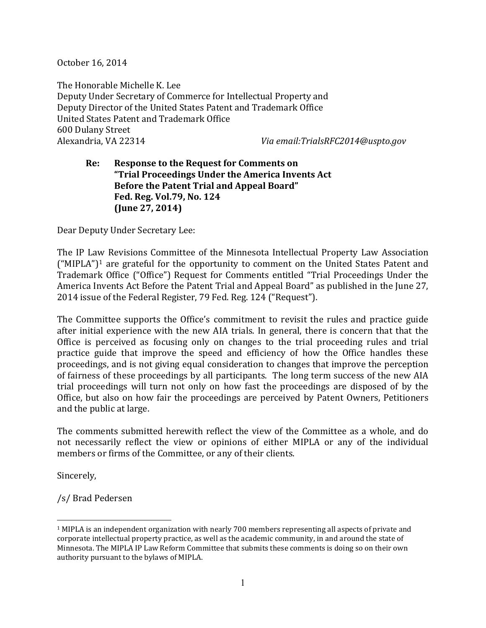October 16, 2014

The Honorable Michelle K. Lee Deputy Under Secretary of Commerce for Intellectual Property and Deputy Director of the United States Patent and Trademark Office United States Patent and Trademark Office 600 Dulany Street

Alexandria, VA 22314 *Via email:TrialsRFC2014@uspto.gov*

#### **Re: Response to the Request for Comments on "Trial Proceedings Under the America Invents Act Before the Patent Trial and Appeal Board" Fed. Reg. Vol.79, No. 124 (June 27, 2014)**

Dear Deputy Under Secretary Lee:

The IP Law Revisions Committee of the Minnesota Intellectual Property Law Association  $("MIPLA")<sup>1</sup>$  $("MIPLA")<sup>1</sup>$  $("MIPLA")<sup>1</sup>$  are grateful for the opportunity to comment on the United States Patent and Trademark Office ("Office") Request for Comments entitled "Trial Proceedings Under the America Invents Act Before the Patent Trial and Appeal Board" as published in the June 27, 2014 issue of the Federal Register, 79 Fed. Reg. 124 ("Request").

The Committee supports the Office's commitment to revisit the rules and practice guide after initial experience with the new AIA trials. In general, there is concern that that the Office is perceived as focusing only on changes to the trial proceeding rules and trial practice guide that improve the speed and efficiency of how the Office handles these proceedings, and is not giving equal consideration to changes that improve the perception of fairness of these proceedings by all participants. The long term success of the new AIA trial proceedings will turn not only on how fast the proceedings are disposed of by the Office, but also on how fair the proceedings are perceived by Patent Owners, Petitioners and the public at large.

The comments submitted herewith reflect the view of the Committee as a whole, and do not necessarily reflect the view or opinions of either MIPLA or any of the individual members or firms of the Committee, or any of their clients.

Sincerely,

/s/ Brad Pedersen

<span id="page-0-0"></span> <sup>1</sup> MIPLA is an independent organization with nearly 700 members representing all aspects of private and corporate intellectual property practice, as well as the academic community, in and around the state of Minnesota. The MIPLA IP Law Reform Committee that submits these comments is doing so on their own authority pursuant to the bylaws of MIPLA.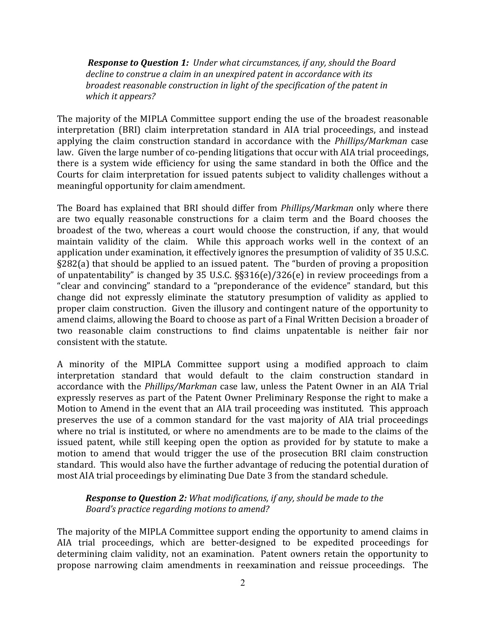*Response to Question 1: Under what circumstances, if any, should the Board decline to construe a claim in an unexpired patent in accordance with its broadest reasonable construction in light of the specification of the patent in which it appears?*

The majority of the MIPLA Committee support ending the use of the broadest reasonable interpretation (BRI) claim interpretation standard in AIA trial proceedings, and instead applying the claim construction standard in accordance with the *Phillips/Markman* case law. Given the large number of co-pending litigations that occur with AIA trial proceedings, there is a system wide efficiency for using the same standard in both the Office and the Courts for claim interpretation for issued patents subject to validity challenges without a meaningful opportunity for claim amendment.

The Board has explained that BRI should differ from *Phillips/Markman* only where there are two equally reasonable constructions for a claim term and the Board chooses the broadest of the two, whereas a court would choose the construction, if any, that would maintain validity of the claim. While this approach works well in the context of an application under examination, it effectively ignores the presumption of validity of 35 U.S.C. §282(a) that should be applied to an issued patent. The "burden of proving a proposition of unpatentability" is changed by 35 U.S.C. §§316(e)/326(e) in review proceedings from a "clear and convincing" standard to a "preponderance of the evidence" standard, but this change did not expressly eliminate the statutory presumption of validity as applied to proper claim construction. Given the illusory and contingent nature of the opportunity to amend claims, allowing the Board to choose as part of a Final Written Decision a broader of two reasonable claim constructions to find claims unpatentable is neither fair nor consistent with the statute.

A minority of the MIPLA Committee support using a modified approach to claim interpretation standard that would default to the claim construction standard in accordance with the *Phillips/Markman* case law, unless the Patent Owner in an AIA Trial expressly reserves as part of the Patent Owner Preliminary Response the right to make a Motion to Amend in the event that an AIA trail proceeding was instituted. This approach preserves the use of a common standard for the vast majority of AIA trial proceedings where no trial is instituted, or where no amendments are to be made to the claims of the issued patent, while still keeping open the option as provided for by statute to make a motion to amend that would trigger the use of the prosecution BRI claim construction standard. This would also have the further advantage of reducing the potential duration of most AIA trial proceedings by eliminating Due Date 3 from the standard schedule.

#### *Response to Question 2: What modifications, if any, should be made to the Board's practice regarding motions to amend?*

The majority of the MIPLA Committee support ending the opportunity to amend claims in AIA trial proceedings, which are better-designed to be expedited proceedings for determining claim validity, not an examination. Patent owners retain the opportunity to propose narrowing claim amendments in reexamination and reissue proceedings. The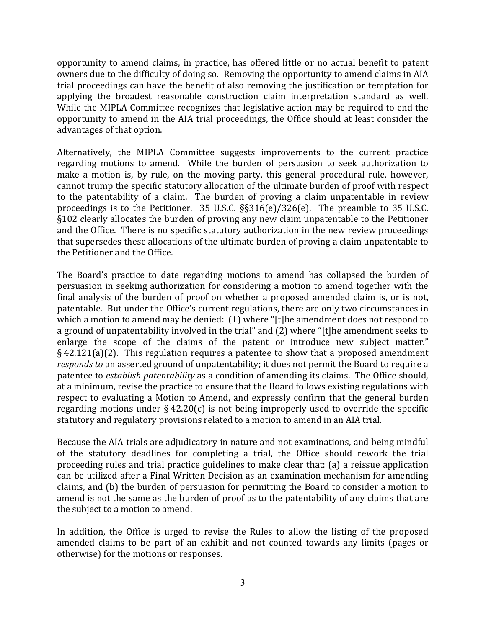opportunity to amend claims, in practice, has offered little or no actual benefit to patent owners due to the difficulty of doing so. Removing the opportunity to amend claims in AIA trial proceedings can have the benefit of also removing the justification or temptation for applying the broadest reasonable construction claim interpretation standard as well. While the MIPLA Committee recognizes that legislative action may be required to end the opportunity to amend in the AIA trial proceedings, the Office should at least consider the advantages of that option.

Alternatively, the MIPLA Committee suggests improvements to the current practice regarding motions to amend. While the burden of persuasion to seek authorization to make a motion is, by rule, on the moving party, this general procedural rule, however, cannot trump the specific statutory allocation of the ultimate burden of proof with respect to the patentability of a claim. The burden of proving a claim unpatentable in review proceedings is to the Petitioner. 35 U.S.C. §§316(e)/326(e). The preamble to 35 U.S.C. §102 clearly allocates the burden of proving any new claim unpatentable to the Petitioner and the Office. There is no specific statutory authorization in the new review proceedings that supersedes these allocations of the ultimate burden of proving a claim unpatentable to the Petitioner and the Office.

The Board's practice to date regarding motions to amend has collapsed the burden of persuasion in seeking authorization for considering a motion to amend together with the final analysis of the burden of proof on whether a proposed amended claim is, or is not, patentable. But under the Office's current regulations, there are only two circumstances in which a motion to amend may be denied: (1) where "[t]he amendment does not respond to a ground of unpatentability involved in the trial" and (2) where "[t]he amendment seeks to enlarge the scope of the claims of the patent or introduce new subject matter." § 42.121(a)(2). This regulation requires a patentee to show that a proposed amendment *responds to* an asserted ground of unpatentability; it does not permit the Board to require a patentee to *establish patentability* as a condition of amending its claims. The Office should, at a minimum, revise the practice to ensure that the Board follows existing regulations with respect to evaluating a Motion to Amend, and expressly confirm that the general burden regarding motions under  $\S$  42.20(c) is not being improperly used to override the specific statutory and regulatory provisions related to a motion to amend in an AIA trial.

Because the AIA trials are adjudicatory in nature and not examinations, and being mindful of the statutory deadlines for completing a trial, the Office should rework the trial proceeding rules and trial practice guidelines to make clear that: (a) a reissue application can be utilized after a Final Written Decision as an examination mechanism for amending claims, and (b) the burden of persuasion for permitting the Board to consider a motion to amend is not the same as the burden of proof as to the patentability of any claims that are the subject to a motion to amend.

In addition, the Office is urged to revise the Rules to allow the listing of the proposed amended claims to be part of an exhibit and not counted towards any limits (pages or otherwise) for the motions or responses.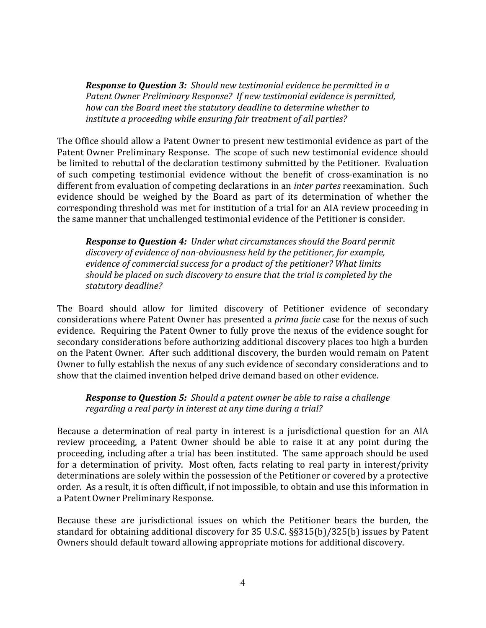*Response to Question 3: Should new testimonial evidence be permitted in a Patent Owner Preliminary Response? If new testimonial evidence is permitted, how can the Board meet the statutory deadline to determine whether to institute a proceeding while ensuring fair treatment of all parties?*

The Office should allow a Patent Owner to present new testimonial evidence as part of the Patent Owner Preliminary Response. The scope of such new testimonial evidence should be limited to rebuttal of the declaration testimony submitted by the Petitioner. Evaluation of such competing testimonial evidence without the benefit of cross-examination is no different from evaluation of competing declarations in an *inter partes* reexamination. Such evidence should be weighed by the Board as part of its determination of whether the corresponding threshold was met for institution of a trial for an AIA review proceeding in the same manner that unchallenged testimonial evidence of the Petitioner is consider.

*Response to Question 4: Under what circumstances should the Board permit discovery of evidence of non-obviousness held by the petitioner, for example, evidence of commercial success for a product of the petitioner? What limits should be placed on such discovery to ensure that the trial is completed by the statutory deadline?*

The Board should allow for limited discovery of Petitioner evidence of secondary considerations where Patent Owner has presented a *prima facie* case for the nexus of such evidence. Requiring the Patent Owner to fully prove the nexus of the evidence sought for secondary considerations before authorizing additional discovery places too high a burden on the Patent Owner. After such additional discovery, the burden would remain on Patent Owner to fully establish the nexus of any such evidence of secondary considerations and to show that the claimed invention helped drive demand based on other evidence.

*Response to Question 5: Should a patent owner be able to raise a challenge regarding a real party in interest at any time during a trial?*

Because a determination of real party in interest is a jurisdictional question for an AIA review proceeding, a Patent Owner should be able to raise it at any point during the proceeding, including after a trial has been instituted. The same approach should be used for a determination of privity. Most often, facts relating to real party in interest/privity determinations are solely within the possession of the Petitioner or covered by a protective order. As a result, it is often difficult, if not impossible, to obtain and use this information in a Patent Owner Preliminary Response.

Because these are jurisdictional issues on which the Petitioner bears the burden, the standard for obtaining additional discovery for 35 U.S.C. §§315(b)/325(b) issues by Patent Owners should default toward allowing appropriate motions for additional discovery.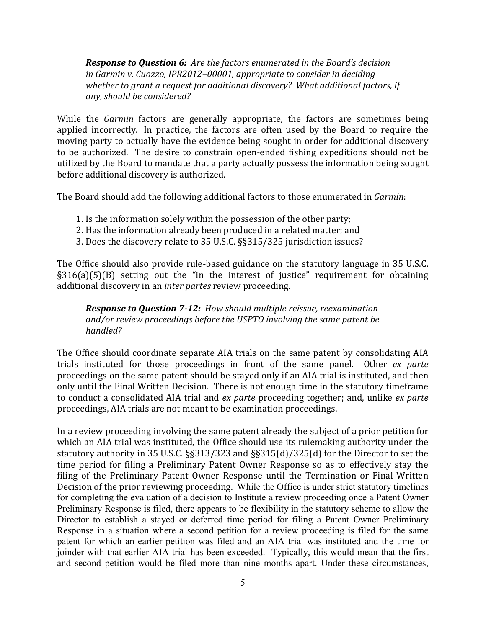*Response to Question 6: Are the factors enumerated in the Board's decision in Garmin v. Cuozzo, IPR2012–00001, appropriate to consider in deciding whether to grant a request for additional discovery? What additional factors, if any, should be considered?*

While the *Garmin* factors are generally appropriate, the factors are sometimes being applied incorrectly. In practice, the factors are often used by the Board to require the moving party to actually have the evidence being sought in order for additional discovery to be authorized. The desire to constrain open-ended fishing expeditions should not be utilized by the Board to mandate that a party actually possess the information being sought before additional discovery is authorized.

The Board should add the following additional factors to those enumerated in *Garmin*:

- 1. Is the information solely within the possession of the other party;
- 2. Has the information already been produced in a related matter; and
- 3. Does the discovery relate to 35 U.S.C. §§315/325 jurisdiction issues?

The Office should also provide rule-based guidance on the statutory language in 35 U.S.C. §316(a)(5)(B) setting out the "in the interest of justice" requirement for obtaining additional discovery in an *inter partes* review proceeding.

*Response to Question 7-12: How should multiple reissue, reexamination and/or review proceedings before the USPTO involving the same patent be handled?* 

The Office should coordinate separate AIA trials on the same patent by consolidating AIA trials instituted for those proceedings in front of the same panel. Other *ex parte*  proceedings on the same patent should be stayed only if an AIA trial is instituted, and then only until the Final Written Decision. There is not enough time in the statutory timeframe to conduct a consolidated AIA trial and *ex parte* proceeding together; and, unlike *ex parte*  proceedings, AIA trials are not meant to be examination proceedings.

In a review proceeding involving the same patent already the subject of a prior petition for which an AIA trial was instituted, the Office should use its rulemaking authority under the statutory authority in 35 U.S.C. §§313/323 and §§315(d)/325(d) for the Director to set the time period for filing a Preliminary Patent Owner Response so as to effectively stay the filing of the Preliminary Patent Owner Response until the Termination or Final Written Decision of the prior reviewing proceeding. While the Office is under strict statutory timelines for completing the evaluation of a decision to Institute a review proceeding once a Patent Owner Preliminary Response is filed, there appears to be flexibility in the statutory scheme to allow the Director to establish a stayed or deferred time period for filing a Patent Owner Preliminary Response in a situation where a second petition for a review proceeding is filed for the same patent for which an earlier petition was filed and an AIA trial was instituted and the time for joinder with that earlier AIA trial has been exceeded. Typically, this would mean that the first and second petition would be filed more than nine months apart. Under these circumstances,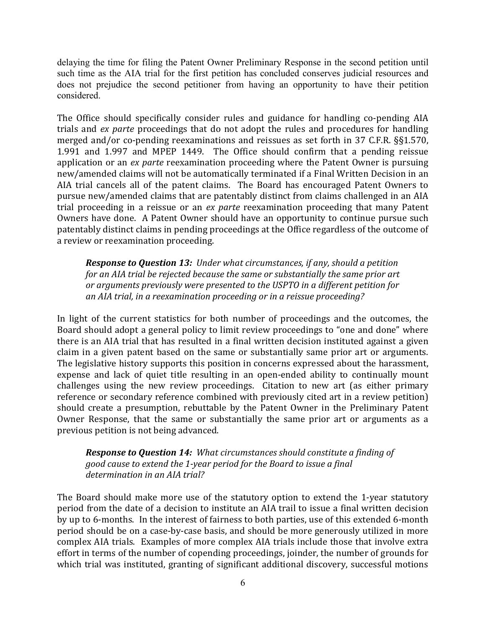delaying the time for filing the Patent Owner Preliminary Response in the second petition until such time as the AIA trial for the first petition has concluded conserves judicial resources and does not prejudice the second petitioner from having an opportunity to have their petition considered.

The Office should specifically consider rules and guidance for handling co-pending AIA trials and *ex parte* proceedings that do not adopt the rules and procedures for handling merged and/or co-pending reexaminations and reissues as set forth in 37 C.F.R. §§1.570, 1.991 and 1.997 and MPEP 1449. The Office should confirm that a pending reissue application or an *ex parte* reexamination proceeding where the Patent Owner is pursuing new/amended claims will not be automatically terminated if a Final Written Decision in an AIA trial cancels all of the patent claims. The Board has encouraged Patent Owners to pursue new/amended claims that are patentably distinct from claims challenged in an AIA trial proceeding in a reissue or an *ex parte* reexamination proceeding that many Patent Owners have done. A Patent Owner should have an opportunity to continue pursue such patentably distinct claims in pending proceedings at the Office regardless of the outcome of a review or reexamination proceeding.

*Response to Question 13: Under what circumstances, if any, should a petition for an AIA trial be rejected because the same or substantially the same prior art or arguments previously were presented to the USPTO in a different petition for an AIA trial, in a reexamination proceeding or in a reissue proceeding?*

In light of the current statistics for both number of proceedings and the outcomes, the Board should adopt a general policy to limit review proceedings to "one and done" where there is an AIA trial that has resulted in a final written decision instituted against a given claim in a given patent based on the same or substantially same prior art or arguments. The legislative history supports this position in concerns expressed about the harassment, expense and lack of quiet title resulting in an open-ended ability to continually mount challenges using the new review proceedings. Citation to new art (as either primary reference or secondary reference combined with previously cited art in a review petition) should create a presumption, rebuttable by the Patent Owner in the Preliminary Patent Owner Response, that the same or substantially the same prior art or arguments as a previous petition is not being advanced.

*Response to Question 14: What circumstances should constitute a finding of good cause to extend the 1-year period for the Board to issue a final determination in an AIA trial?*

The Board should make more use of the statutory option to extend the 1-year statutory period from the date of a decision to institute an AIA trail to issue a final written decision by up to 6-months. In the interest of fairness to both parties, use of this extended 6-month period should be on a case-by-case basis, and should be more generously utilized in more complex AIA trials. Examples of more complex AIA trials include those that involve extra effort in terms of the number of copending proceedings, joinder, the number of grounds for which trial was instituted, granting of significant additional discovery, successful motions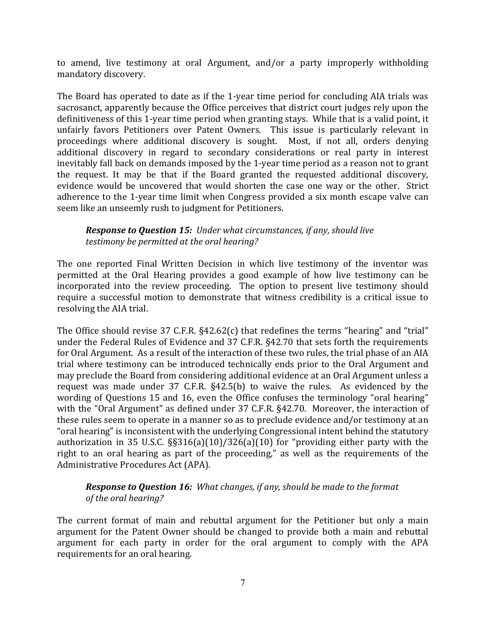to amend, live testimony at oral Argument, and/or a party improperly withholding mandatory discovery.

The Board has operated to date as if the 1-year time period for concluding AIA trials was sacrosanct, apparently because the Office perceives that district court judges rely upon the definitiveness of this 1-year time period when granting stays. While that is a valid point, it unfairly favors Petitioners over Patent Owners. This issue is particularly relevant in proceedings where additional discovery is sought. Most, if not all, orders denying additional discovery in regard to secondary considerations or real party in interest inevitably fall back on demands imposed by the 1-year time period as a reason not to grant the request. It may be that if the Board granted the requested additional discovery, evidence would be uncovered that would shorten the case one way or the other. Strict adherence to the 1-year time limit when Congress provided a six month escape valve can seem like an unseemly rush to judgment for Petitioners.

*Response to Question 15: Under what circumstances, if any, should live testimony be permitted at the oral hearing?*

The one reported Final Written Decision in which live testimony of the inventor was permitted at the Oral Hearing provides a good example of how live testimony can be incorporated into the review proceeding. The option to present live testimony should require a successful motion to demonstrate that witness credibility is a critical issue to resolving the AIA trial.

The Office should revise 37 C.F.R. §42.62(c) that redefines the terms "hearing" and "trial" under the Federal Rules of Evidence and 37 C.F.R. §42.70 that sets forth the requirements for Oral Argument. As a result of the interaction of these two rules, the trial phase of an AIA trial where testimony can be introduced technically ends prior to the Oral Argument and may preclude the Board from considering additional evidence at an Oral Argument unless a request was made under 37 C.F.R. §42.5(b) to waive the rules. As evidenced by the wording of Questions 15 and 16, even the Office confuses the terminology "oral hearing" with the "Oral Argument" as defined under 37 C.F.R. §42.70. Moreover, the interaction of these rules seem to operate in a manner so as to preclude evidence and/or testimony at an "oral hearing" is inconsistent with the underlying Congressional intent behind the statutory authorization in 35 U.S.C. §§316(a)(10)/326(a)(10) for "providing either party with the right to an oral hearing as part of the proceeding," as well as the requirements of the Administrative Procedures Act (APA).

#### *Response to Question 16: What changes, if any, should be made to the format of the oral hearing?*

The current format of main and rebuttal argument for the Petitioner but only a main argument for the Patent Owner should be changed to provide both a main and rebuttal argument for each party in order for the oral argument to comply with the APA requirements for an oral hearing.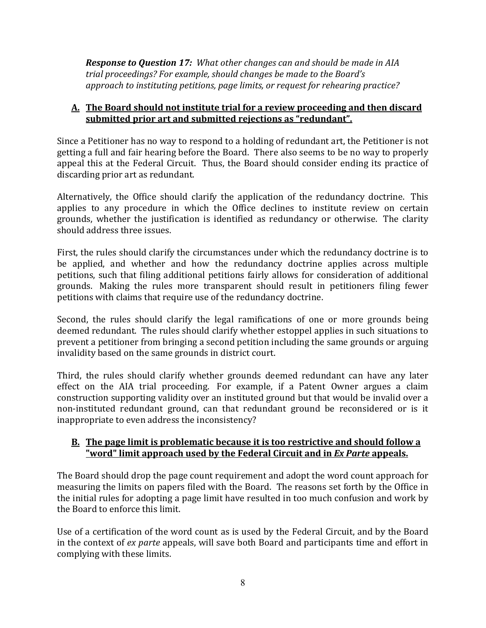*Response to Question 17: What other changes can and should be made in AIA trial proceedings? For example, should changes be made to the Board's approach to instituting petitions, page limits, or request for rehearing practice?*

## **A. The Board should not institute trial for a review proceeding and then discard submitted prior art and submitted rejections as "redundant".**

Since a Petitioner has no way to respond to a holding of redundant art, the Petitioner is not getting a full and fair hearing before the Board. There also seems to be no way to properly appeal this at the Federal Circuit. Thus, the Board should consider ending its practice of discarding prior art as redundant.

Alternatively, the Office should clarify the application of the redundancy doctrine. This applies to any procedure in which the Office declines to institute review on certain grounds, whether the justification is identified as redundancy or otherwise. The clarity should address three issues.

First, the rules should clarify the circumstances under which the redundancy doctrine is to be applied, and whether and how the redundancy doctrine applies across multiple petitions, such that filing additional petitions fairly allows for consideration of additional grounds. Making the rules more transparent should result in petitioners filing fewer petitions with claims that require use of the redundancy doctrine.

Second, the rules should clarify the legal ramifications of one or more grounds being deemed redundant. The rules should clarify whether estoppel applies in such situations to prevent a petitioner from bringing a second petition including the same grounds or arguing invalidity based on the same grounds in district court.

Third, the rules should clarify whether grounds deemed redundant can have any later effect on the AIA trial proceeding. For example, if a Patent Owner argues a claim construction supporting validity over an instituted ground but that would be invalid over a non-instituted redundant ground, can that redundant ground be reconsidered or is it inappropriate to even address the inconsistency?

#### **B. The page limit is problematic because it is too restrictive and should follow a "word" limit approach used by the Federal Circuit and in** *Ex Parte* **appeals.**

The Board should drop the page count requirement and adopt the word count approach for measuring the limits on papers filed with the Board. The reasons set forth by the Office in the initial rules for adopting a page limit have resulted in too much confusion and work by the Board to enforce this limit.

Use of a certification of the word count as is used by the Federal Circuit, and by the Board in the context of *ex parte* appeals, will save both Board and participants time and effort in complying with these limits.